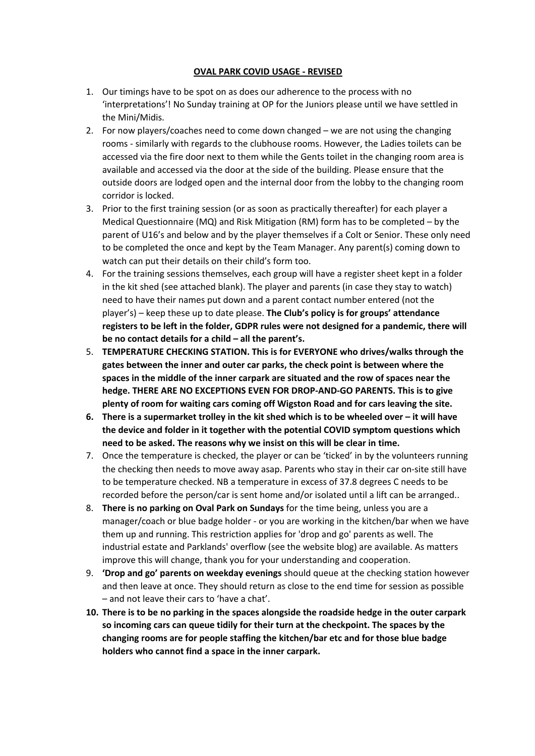## **OVAL PARK COVID USAGE - REVISED**

- 1. Our timings have to be spot on as does our adherence to the process with no 'interpretations'! No Sunday training at OP for the Juniors please until we have settled in the Mini/Midis.
- 2. For now players/coaches need to come down changed we are not using the changing rooms - similarly with regards to the clubhouse rooms. However, the Ladies toilets can be accessed via the fire door next to them while the Gents toilet in the changing room area is available and accessed via the door at the side of the building. Please ensure that the outside doors are lodged open and the internal door from the lobby to the changing room corridor is locked.
- 3. Prior to the first training session (or as soon as practically thereafter) for each player a Medical Questionnaire (MQ) and Risk Mitigation (RM) form has to be completed – by the parent of U16's and below and by the player themselves if a Colt or Senior. These only need to be completed the once and kept by the Team Manager. Any parent(s) coming down to watch can put their details on their child's form too.
- 4. For the training sessions themselves, each group will have a register sheet kept in a folder in the kit shed (see attached blank). The player and parents (in case they stay to watch) need to have their names put down and a parent contact number entered (not the player's) – keep these up to date please. **The Club's policy is for groups' attendance registers to be left in the folder, GDPR rules were not designed for a pandemic, there will be no contact details for a child – all the parent's.**
- 5. **TEMPERATURE CHECKING STATION. This is for EVERYONE who drives/walks through the gates between the inner and outer car parks, the check point is between where the spaces in the middle of the inner carpark are situated and the row of spaces near the hedge. THERE ARE NO EXCEPTIONS EVEN FOR DROP-AND-GO PARENTS. This is to give plenty of room for waiting cars coming off Wigston Road and for cars leaving the site.**
- **6. There is a supermarket trolley in the kit shed which is to be wheeled over – it will have the device and folder in it together with the potential COVID symptom questions which need to be asked. The reasons why we insist on this will be clear in time.**
- 7. Once the temperature is checked, the player or can be 'ticked' in by the volunteers running the checking then needs to move away asap. Parents who stay in their car on-site still have to be temperature checked. NB a temperature in excess of 37.8 degrees C needs to be recorded before the person/car is sent home and/or isolated until a lift can be arranged..
- 8. **There is no parking on Oval Park on Sundays** for the time being, unless you are a manager/coach or blue badge holder - or you are working in the kitchen/bar when we have them up and running. This restriction applies for 'drop and go' parents as well. The industrial estate and Parklands' overflow (see the website blog) are available. As matters improve this will change, thank you for your understanding and cooperation.
- 9. **'Drop and go' parents on weekday evenings** should queue at the checking station however and then leave at once. They should return as close to the end time for session as possible – and not leave their cars to 'have a chat'.
- **10. There is to be no parking in the spaces alongside the roadside hedge in the outer carpark so incoming cars can queue tidily for their turn at the checkpoint. The spaces by the changing rooms are for people staffing the kitchen/bar etc and for those blue badge holders who cannot find a space in the inner carpark.**